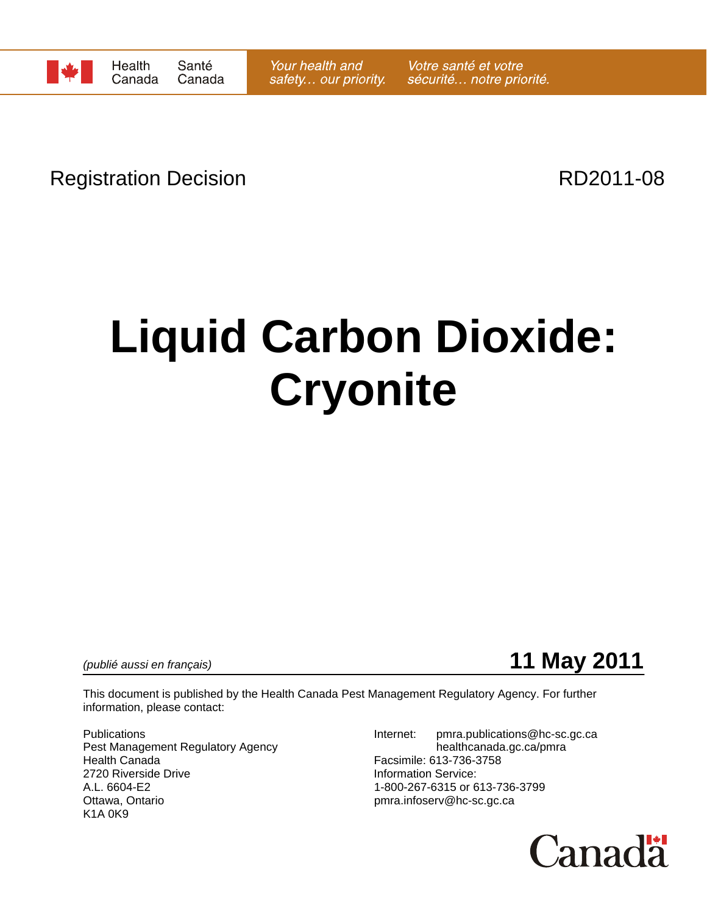

Registration Decision **RD2011-08** 

# **Liquid Carbon Dioxide: Cryonite**



This document is published by the Health Canada Pest Management Regulatory Agency. For further information, please contact:

Pest Management Regulatory Agency healthcanada.gc.ca/pmra Health Canada Facsimile: 613-736-3758 2720 Riverside Drive **Information Service:**<br>A.L. 6604-E2 **Information Service:** 1-800-267-6315 or 6 A.L. 6604-E2 1-800-267-6315 or 613-736-3799<br>Ottawa, Ontario 11-800-267-6315 or 613-736-3799 K1A 0K9

Publications **Internet:** pmra.publications@hc-sc.gc.ca pmra.infoserv@hc-sc.gc.ca

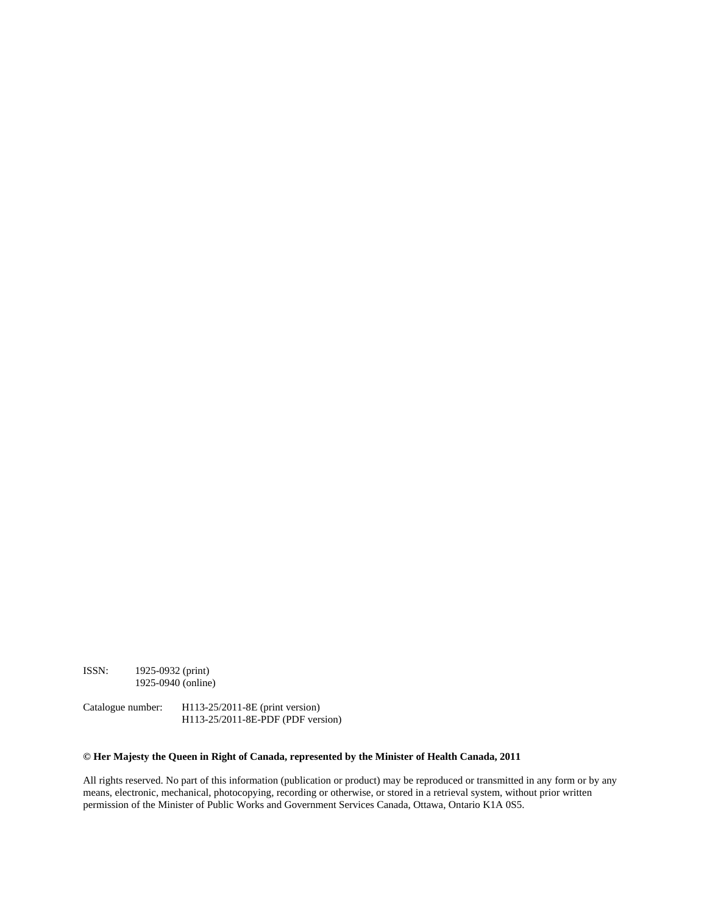ISSN: 1925-0932 (print) 1925-0940 (online)

Catalogue number: H113-25/2011-8E (print version) H113-25/2011-8E-PDF (PDF version)

#### **© Her Majesty the Queen in Right of Canada, represented by the Minister of Health Canada, 2011**

All rights reserved. No part of this information (publication or product) may be reproduced or transmitted in any form or by any means, electronic, mechanical, photocopying, recording or otherwise, or stored in a retrieval system, without prior written permission of the Minister of Public Works and Government Services Canada, Ottawa, Ontario K1A 0S5.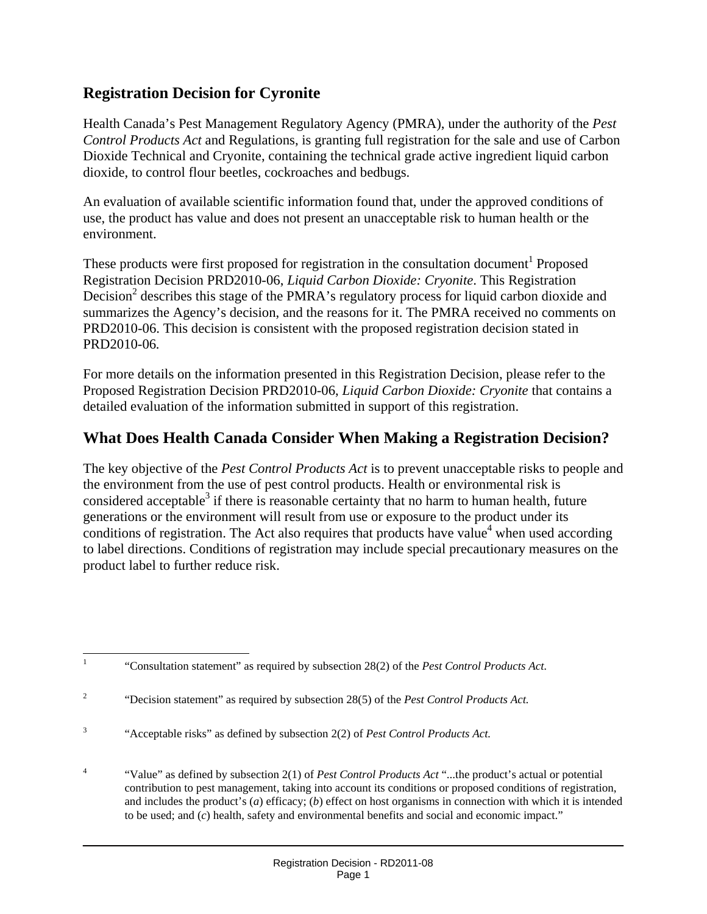# **Registration Decision for Cyronite**

Health Canada's Pest Management Regulatory Agency (PMRA), under the authority of the *Pest Control Products Act* and Regulations, is granting full registration for the sale and use of Carbon Dioxide Technical and Cryonite, containing the technical grade active ingredient liquid carbon dioxide, to control flour beetles, cockroaches and bedbugs.

An evaluation of available scientific information found that, under the approved conditions of use, the product has value and does not present an unacceptable risk to human health or the environment.

These products were first proposed for registration in the consultation document<sup>1</sup> Proposed Registration Decision PRD2010-06, *Liquid Carbon Dioxide: Cryonite*. This Registration Decision<sup>2</sup> describes this stage of the PMRA's regulatory process for liquid carbon dioxide and summarizes the Agency's decision, and the reasons for it. The PMRA received no comments on PRD2010-06. This decision is consistent with the proposed registration decision stated in PRD2010-06*.*

For more details on the information presented in this Registration Decision, please refer to the Proposed Registration Decision PRD2010-06, *Liquid Carbon Dioxide: Cryonite* that contains a detailed evaluation of the information submitted in support of this registration.

# **What Does Health Canada Consider When Making a Registration Decision?**

The key objective of the *Pest Control Products Act* is to prevent unacceptable risks to people and the environment from the use of pest control products. Health or environmental risk is considered acceptable<sup>3</sup> if there is reasonable certainty that no harm to human health, future generations or the environment will result from use or exposure to the product under its conditions of registration. The Act also requires that products have value<sup>4</sup> when used according to label directions. Conditions of registration may include special precautionary measures on the product label to further reduce risk.

4 "Value" as defined by subsection 2(1) of *Pest Control Products Act* "...the product's actual or potential contribution to pest management, taking into account its conditions or proposed conditions of registration, and includes the product's (*a*) efficacy; (*b*) effect on host organisms in connection with which it is intended to be used; and (*c*) health, safety and environmental benefits and social and economic impact."

 $\frac{1}{1}$ "Consultation statement" as required by subsection 28(2) of the *Pest Control Products Act*.

 $\overline{2}$ "Decision statement" as required by subsection 28(5) of the *Pest Control Products Act.*

<sup>3</sup> "Acceptable risks" as defined by subsection 2(2) of *Pest Control Products Act.*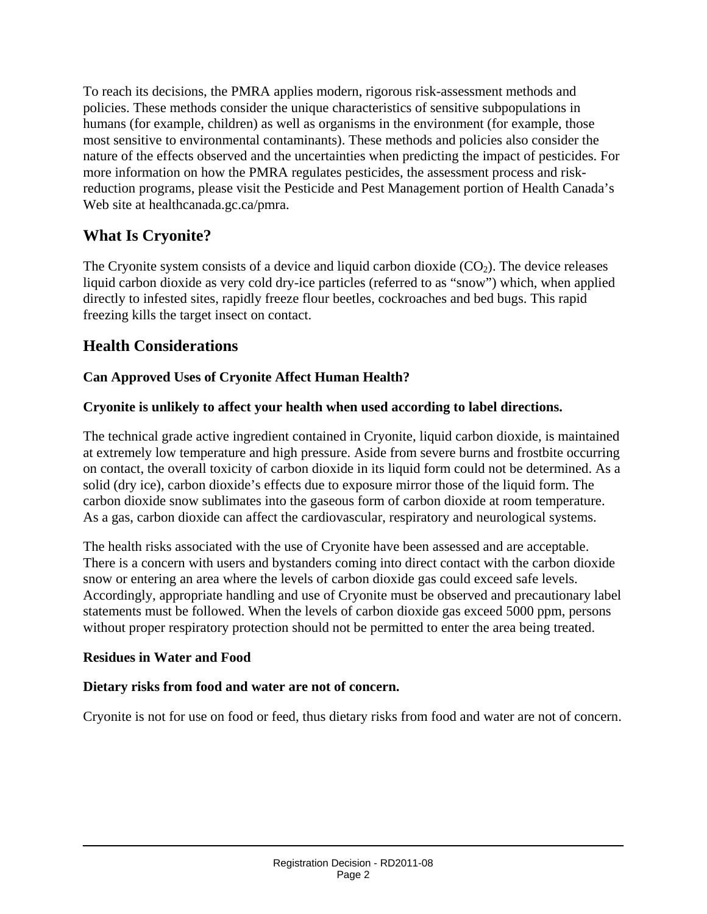To reach its decisions, the PMRA applies modern, rigorous risk-assessment methods and policies. These methods consider the unique characteristics of sensitive subpopulations in humans (for example, children) as well as organisms in the environment (for example, those most sensitive to environmental contaminants). These methods and policies also consider the nature of the effects observed and the uncertainties when predicting the impact of pesticides. For more information on how the PMRA regulates pesticides, the assessment process and riskreduction programs, please visit the Pesticide and Pest Management portion of Health Canada's Web site at healthcanada.gc.ca/pmra.

# **What Is Cryonite?**

The Cryonite system consists of a device and liquid carbon dioxide  $(CO<sub>2</sub>)$ . The device releases liquid carbon dioxide as very cold dry-ice particles (referred to as "snow") which, when applied directly to infested sites, rapidly freeze flour beetles, cockroaches and bed bugs. This rapid freezing kills the target insect on contact.

## **Health Considerations**

## **Can Approved Uses of Cryonite Affect Human Health?**

## **Cryonite is unlikely to affect your health when used according to label directions.**

The technical grade active ingredient contained in Cryonite, liquid carbon dioxide, is maintained at extremely low temperature and high pressure. Aside from severe burns and frostbite occurring on contact, the overall toxicity of carbon dioxide in its liquid form could not be determined. As a solid (dry ice), carbon dioxide's effects due to exposure mirror those of the liquid form. The carbon dioxide snow sublimates into the gaseous form of carbon dioxide at room temperature. As a gas, carbon dioxide can affect the cardiovascular, respiratory and neurological systems.

The health risks associated with the use of Cryonite have been assessed and are acceptable. There is a concern with users and bystanders coming into direct contact with the carbon dioxide snow or entering an area where the levels of carbon dioxide gas could exceed safe levels. Accordingly, appropriate handling and use of Cryonite must be observed and precautionary label statements must be followed. When the levels of carbon dioxide gas exceed 5000 ppm, persons without proper respiratory protection should not be permitted to enter the area being treated.

#### **Residues in Water and Food**

#### **Dietary risks from food and water are not of concern.**

Cryonite is not for use on food or feed, thus dietary risks from food and water are not of concern.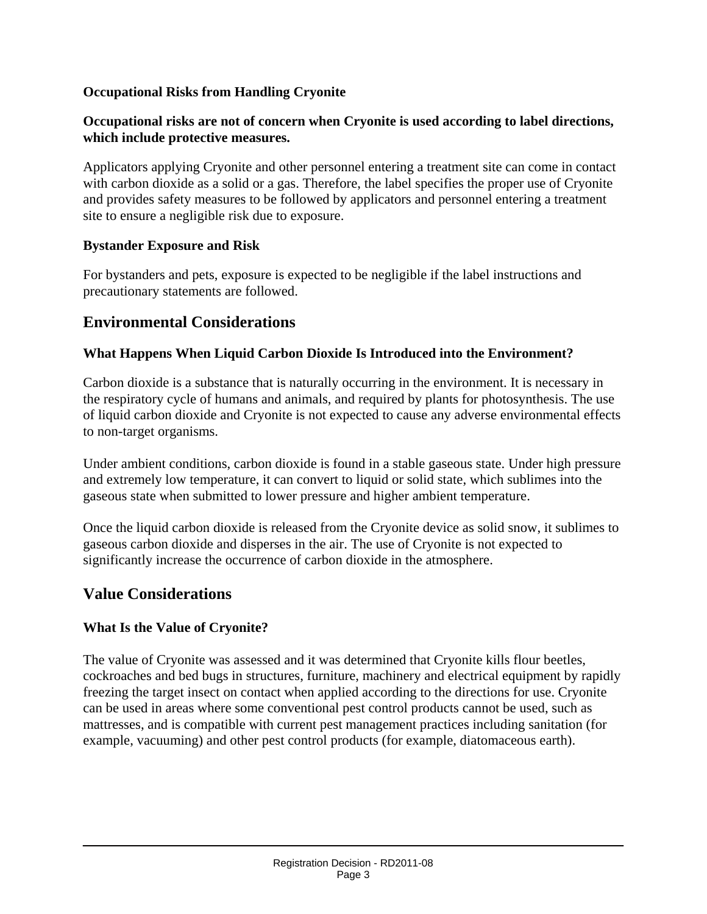#### **Occupational Risks from Handling Cryonite**

#### **Occupational risks are not of concern when Cryonite is used according to label directions, which include protective measures.**

Applicators applying Cryonite and other personnel entering a treatment site can come in contact with carbon dioxide as a solid or a gas. Therefore, the label specifies the proper use of Cryonite and provides safety measures to be followed by applicators and personnel entering a treatment site to ensure a negligible risk due to exposure.

#### **Bystander Exposure and Risk**

For bystanders and pets, exposure is expected to be negligible if the label instructions and precautionary statements are followed.

## **Environmental Considerations**

#### **What Happens When Liquid Carbon Dioxide Is Introduced into the Environment?**

Carbon dioxide is a substance that is naturally occurring in the environment. It is necessary in the respiratory cycle of humans and animals, and required by plants for photosynthesis. The use of liquid carbon dioxide and Cryonite is not expected to cause any adverse environmental effects to non-target organisms.

Under ambient conditions, carbon dioxide is found in a stable gaseous state. Under high pressure and extremely low temperature, it can convert to liquid or solid state, which sublimes into the gaseous state when submitted to lower pressure and higher ambient temperature.

Once the liquid carbon dioxide is released from the Cryonite device as solid snow, it sublimes to gaseous carbon dioxide and disperses in the air. The use of Cryonite is not expected to significantly increase the occurrence of carbon dioxide in the atmosphere.

## **Value Considerations**

#### **What Is the Value of Cryonite?**

The value of Cryonite was assessed and it was determined that Cryonite kills flour beetles, cockroaches and bed bugs in structures, furniture, machinery and electrical equipment by rapidly freezing the target insect on contact when applied according to the directions for use. Cryonite can be used in areas where some conventional pest control products cannot be used, such as mattresses, and is compatible with current pest management practices including sanitation (for example, vacuuming) and other pest control products (for example, diatomaceous earth).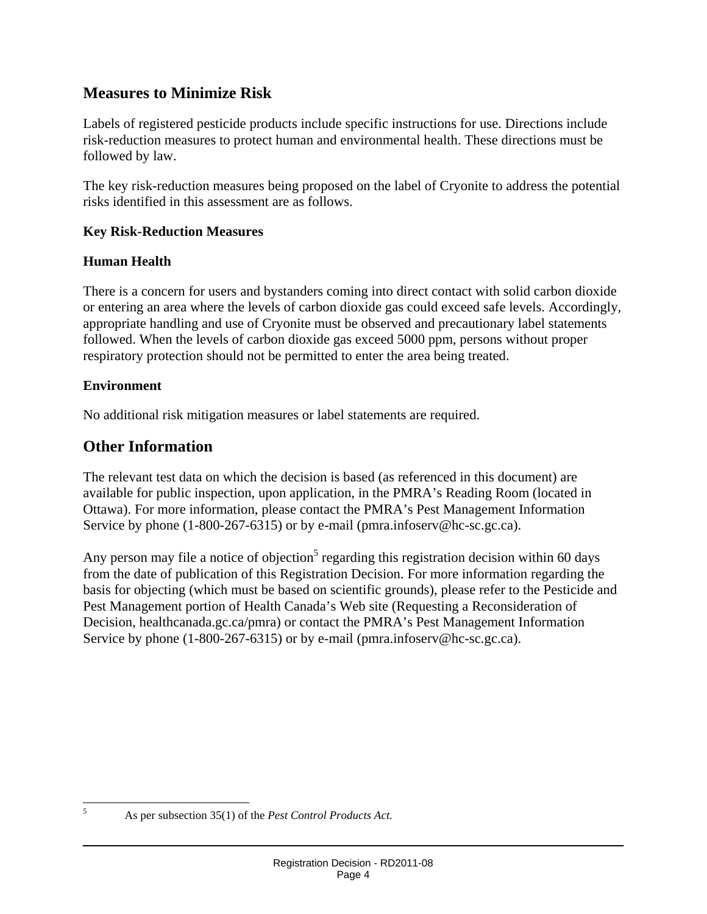# **Measures to Minimize Risk**

Labels of registered pesticide products include specific instructions for use. Directions include risk-reduction measures to protect human and environmental health. These directions must be followed by law.

The key risk-reduction measures being proposed on the label of Cryonite to address the potential risks identified in this assessment are as follows.

#### **Key Risk-Reduction Measures**

#### **Human Health**

There is a concern for users and bystanders coming into direct contact with solid carbon dioxide or entering an area where the levels of carbon dioxide gas could exceed safe levels. Accordingly, appropriate handling and use of Cryonite must be observed and precautionary label statements followed. When the levels of carbon dioxide gas exceed 5000 ppm, persons without proper respiratory protection should not be permitted to enter the area being treated.

#### **Environment**

No additional risk mitigation measures or label statements are required.

# **Other Information**

The relevant test data on which the decision is based (as referenced in this document) are available for public inspection, upon application, in the PMRA's Reading Room (located in Ottawa). For more information, please contact the PMRA's Pest Management Information Service by phone (1-800-267-6315) or by e-mail (pmra.infoserv@hc-sc.gc.ca).

Any person may file a notice of objection<sup>5</sup> regarding this registration decision within 60 days from the date of publication of this Registration Decision. For more information regarding the basis for objecting (which must be based on scientific grounds), please refer to the Pesticide and Pest Management portion of Health Canada's Web site (Requesting a Reconsideration of Decision, healthcanada.gc.ca/pmra) or contact the PMRA's Pest Management Information Service by phone (1-800-267-6315) or by e-mail (pmra.infoserv@hc-sc.gc.ca).

 5

As per subsection 35(1) of the *Pest Control Products Act.*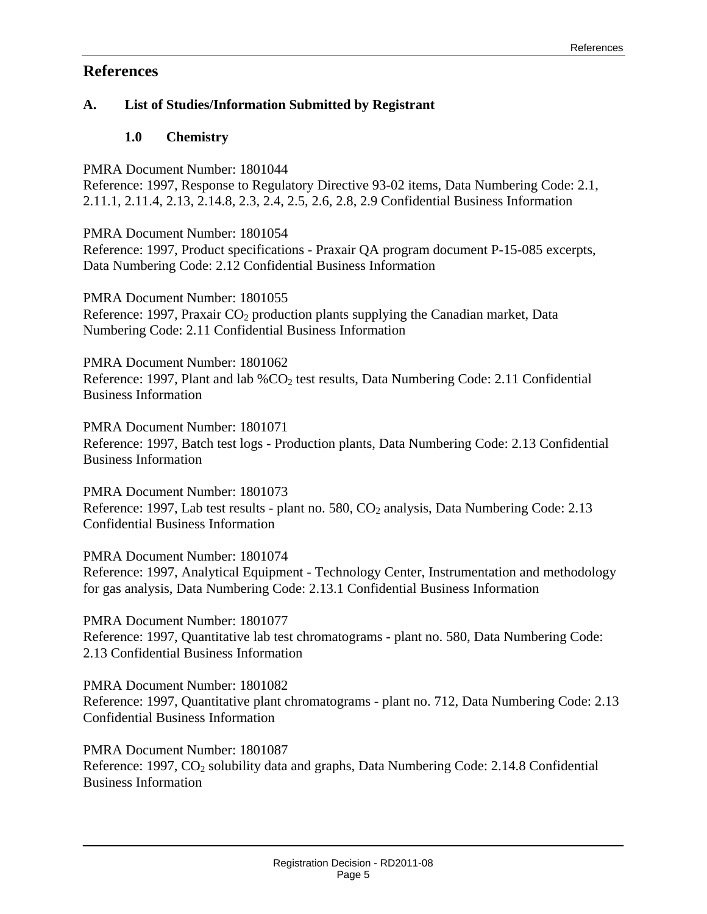## **References**

## **A. List of Studies/Information Submitted by Registrant**

#### **1.0 Chemistry**

PMRA Document Number: 1801044

Reference: 1997, Response to Regulatory Directive 93-02 items, Data Numbering Code: 2.1, 2.11.1, 2.11.4, 2.13, 2.14.8, 2.3, 2.4, 2.5, 2.6, 2.8, 2.9 Confidential Business Information

PMRA Document Number: 1801054 Reference: 1997, Product specifications - Praxair QA program document P-15-085 excerpts, Data Numbering Code: 2.12 Confidential Business Information

PMRA Document Number: 1801055 Reference: 1997, Praxair  $CO_2$  production plants supplying the Canadian market, Data Numbering Code: 2.11 Confidential Business Information

PMRA Document Number: 1801062 Reference: 1997, Plant and lab  $%CO<sub>2</sub>$  test results, Data Numbering Code: 2.11 Confidential Business Information

PMRA Document Number: 1801071 Reference: 1997, Batch test logs - Production plants, Data Numbering Code: 2.13 Confidential Business Information

PMRA Document Number: 1801073 Reference: 1997, Lab test results - plant no. 580, CO<sub>2</sub> analysis, Data Numbering Code: 2.13 Confidential Business Information

PMRA Document Number: 1801074 Reference: 1997, Analytical Equipment - Technology Center, Instrumentation and methodology for gas analysis, Data Numbering Code: 2.13.1 Confidential Business Information

PMRA Document Number: 1801077 Reference: 1997, Quantitative lab test chromatograms - plant no. 580, Data Numbering Code: 2.13 Confidential Business Information

PMRA Document Number: 1801082 Reference: 1997, Quantitative plant chromatograms - plant no. 712, Data Numbering Code: 2.13 Confidential Business Information

PMRA Document Number: 1801087 Reference: 1997, CO<sub>2</sub> solubility data and graphs, Data Numbering Code: 2.14.8 Confidential Business Information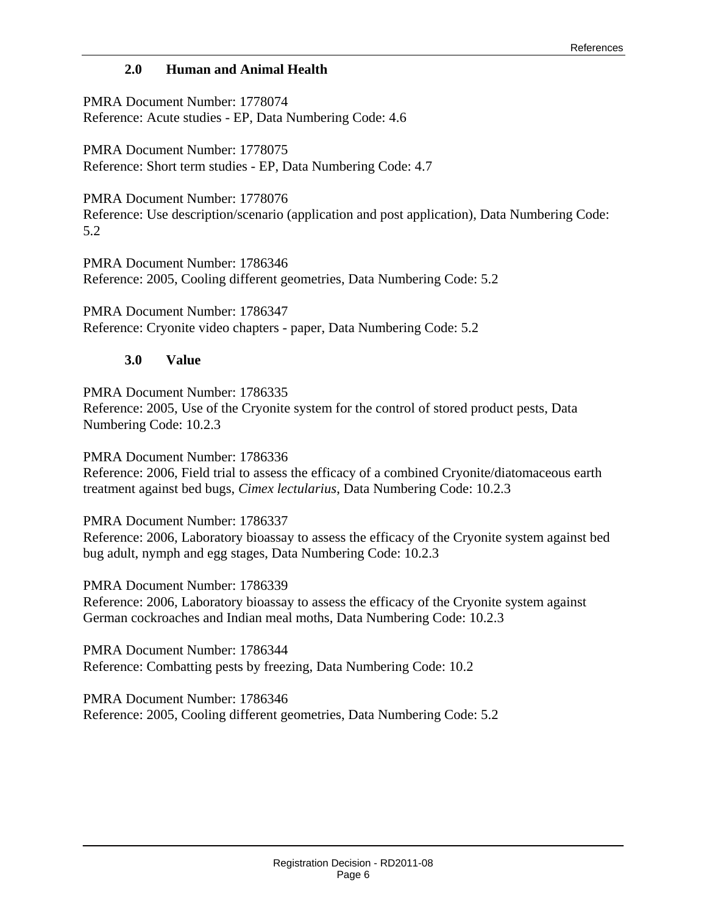#### **2.0 Human and Animal Health**

PMRA Document Number: 1778074 Reference: Acute studies - EP, Data Numbering Code: 4.6

PMRA Document Number: 1778075 Reference: Short term studies - EP, Data Numbering Code: 4.7

PMRA Document Number: 1778076 Reference: Use description/scenario (application and post application), Data Numbering Code: 5.2

PMRA Document Number: 1786346 Reference: 2005, Cooling different geometries, Data Numbering Code: 5.2

PMRA Document Number: 1786347 Reference: Cryonite video chapters - paper, Data Numbering Code: 5.2

#### **3.0 Value**

PMRA Document Number: 1786335 Reference: 2005, Use of the Cryonite system for the control of stored product pests, Data Numbering Code: 10.2.3

PMRA Document Number: 1786336 Reference: 2006, Field trial to assess the efficacy of a combined Cryonite/diatomaceous earth treatment against bed bugs, *Cimex lectularius*, Data Numbering Code: 10.2.3

PMRA Document Number: 1786337

Reference: 2006, Laboratory bioassay to assess the efficacy of the Cryonite system against bed bug adult, nymph and egg stages, Data Numbering Code: 10.2.3

PMRA Document Number: 1786339

Reference: 2006, Laboratory bioassay to assess the efficacy of the Cryonite system against German cockroaches and Indian meal moths, Data Numbering Code: 10.2.3

PMRA Document Number: 1786344 Reference: Combatting pests by freezing, Data Numbering Code: 10.2

PMRA Document Number: 1786346 Reference: 2005, Cooling different geometries, Data Numbering Code: 5.2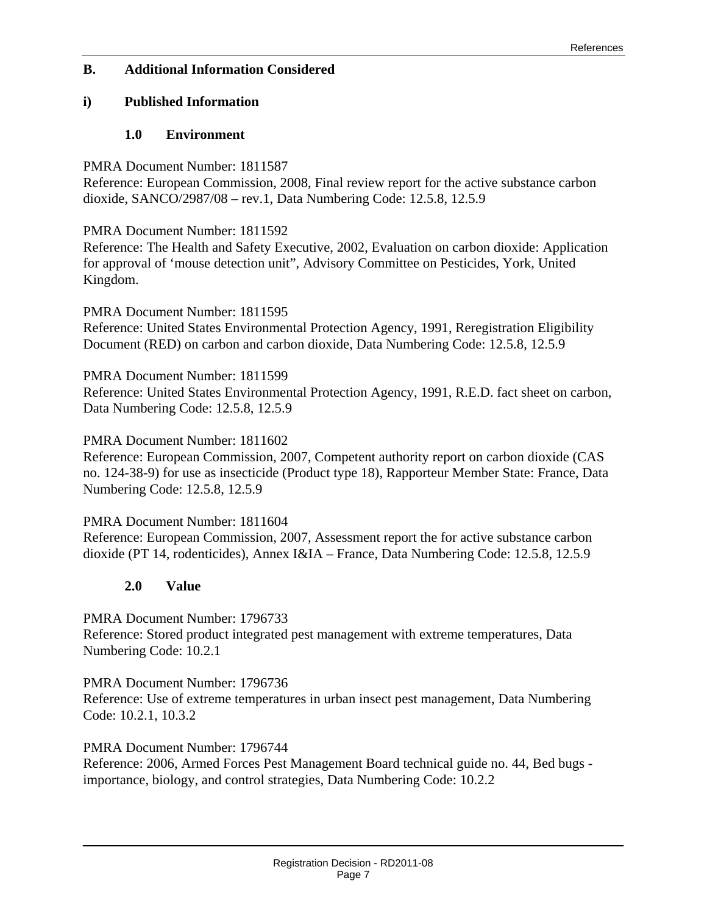#### **B. Additional Information Considered**

#### **i) Published Information**

#### **1.0 Environment**

PMRA Document Number: 1811587

Reference: European Commission, 2008, Final review report for the active substance carbon dioxide, SANCO/2987/08 – rev.1, Data Numbering Code: 12.5.8, 12.5.9

PMRA Document Number: 1811592

Reference: The Health and Safety Executive, 2002, Evaluation on carbon dioxide: Application for approval of 'mouse detection unit", Advisory Committee on Pesticides, York, United Kingdom.

PMRA Document Number: 1811595 Reference: United States Environmental Protection Agency, 1991, Reregistration Eligibility Document (RED) on carbon and carbon dioxide, Data Numbering Code: 12.5.8, 12.5.9

PMRA Document Number: 1811599 Reference: United States Environmental Protection Agency, 1991, R.E.D. fact sheet on carbon, Data Numbering Code: 12.5.8, 12.5.9

#### PMRA Document Number: 1811602

Reference: European Commission, 2007, Competent authority report on carbon dioxide (CAS no. 124-38-9) for use as insecticide (Product type 18), Rapporteur Member State: France, Data Numbering Code: 12.5.8, 12.5.9

PMRA Document Number: 1811604 Reference: European Commission, 2007, Assessment report the for active substance carbon dioxide (PT 14, rodenticides), Annex I&IA – France, Data Numbering Code: 12.5.8, 12.5.9

#### **2.0 Value**

PMRA Document Number: 1796733

Reference: Stored product integrated pest management with extreme temperatures, Data Numbering Code: 10.2.1

PMRA Document Number: 1796736

Reference: Use of extreme temperatures in urban insect pest management, Data Numbering Code: 10.2.1, 10.3.2

PMRA Document Number: 1796744

Reference: 2006, Armed Forces Pest Management Board technical guide no. 44, Bed bugs importance, biology, and control strategies, Data Numbering Code: 10.2.2